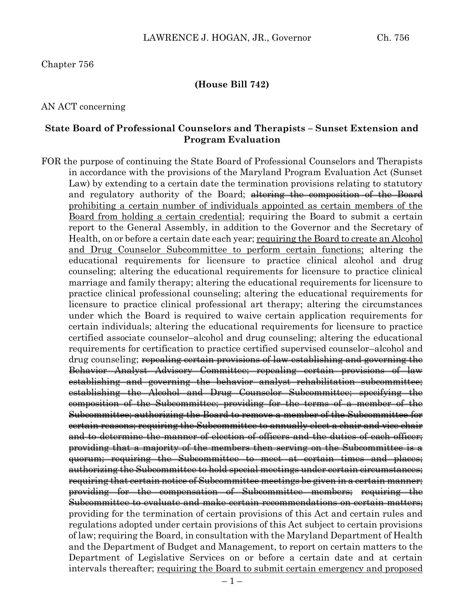#### **(House Bill 742)**

#### AN ACT concerning

### **State Board of Professional Counselors and Therapists – Sunset Extension and Program Evaluation**

FOR the purpose of continuing the State Board of Professional Counselors and Therapists in accordance with the provisions of the Maryland Program Evaluation Act (Sunset Law) by extending to a certain date the termination provisions relating to statutory and regulatory authority of the Board; altering the composition of the Board prohibiting a certain number of individuals appointed as certain members of the Board from holding a certain credential; requiring the Board to submit a certain report to the General Assembly, in addition to the Governor and the Secretary of Health, on or before a certain date each year; requiring the Board to create an Alcohol and Drug Counselor Subcommittee to perform certain functions; altering the educational requirements for licensure to practice clinical alcohol and drug counseling; altering the educational requirements for licensure to practice clinical marriage and family therapy; altering the educational requirements for licensure to practice clinical professional counseling; altering the educational requirements for licensure to practice clinical professional art therapy; altering the circumstances under which the Board is required to waive certain application requirements for certain individuals; altering the educational requirements for licensure to practice certified associate counselor–alcohol and drug counseling; altering the educational requirements for certification to practice certified supervised counselor–alcohol and drug counseling; <del>repealing certain provisions of law establishing and governing the</del> Behavior Analyst Advisory Committee; repealing certain provisions of law establishing and governing the behavior analyst rehabilitation subcommittee; establishing the Alcohol and Drug Counselor Subcommittee; specifying the composition of the Subcommittee; providing for the terms of a member of the Subcommittee; authorizing the Board to remove a member of the Subcommittee for certain reasons; requiring the Subcommittee to annually elect a chair and vice chair and to determine the manner of election of officers and the duties of each officer; providing that a majority of the members then serving on the Subcommittee is a quorum; requiring the Subcommittee to meet at certain times and places; authorizing the Subcommittee to hold special meetings under certain circumstances; requiring that certain notice of Subcommittee meetings be given in a certain manner; providing for the compensation of Subcommittee members; requiring the Subcommittee to evaluate and make certain recommendations on certain matters; providing for the termination of certain provisions of this Act and certain rules and regulations adopted under certain provisions of this Act subject to certain provisions of law; requiring the Board, in consultation with the Maryland Department of Health and the Department of Budget and Management, to report on certain matters to the Department of Legislative Services on or before a certain date and at certain intervals thereafter; requiring the Board to submit certain emergency and proposed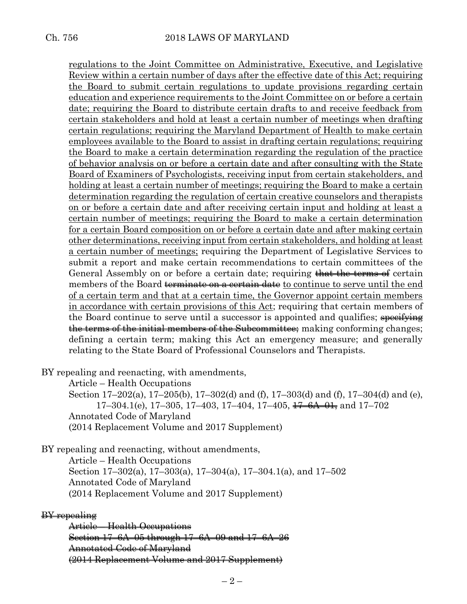regulations to the Joint Committee on Administrative, Executive, and Legislative Review within a certain number of days after the effective date of this Act; requiring the Board to submit certain regulations to update provisions regarding certain education and experience requirements to the Joint Committee on or before a certain date; requiring the Board to distribute certain drafts to and receive feedback from certain stakeholders and hold at least a certain number of meetings when drafting certain regulations; requiring the Maryland Department of Health to make certain employees available to the Board to assist in drafting certain regulations; requiring the Board to make a certain determination regarding the regulation of the practice of behavior analysis on or before a certain date and after consulting with the State Board of Examiners of Psychologists, receiving input from certain stakeholders, and holding at least a certain number of meetings; requiring the Board to make a certain determination regarding the regulation of certain creative counselors and therapists on or before a certain date and after receiving certain input and holding at least a certain number of meetings; requiring the Board to make a certain determination for a certain Board composition on or before a certain date and after making certain other determinations, receiving input from certain stakeholders, and holding at least a certain number of meetings; requiring the Department of Legislative Services to submit a report and make certain recommendations to certain committees of the General Assembly on or before a certain date; requiring that the terms of certain members of the Board terminate on a certain date to continue to serve until the end of a certain term and that at a certain time, the Governor appoint certain members in accordance with certain provisions of this Act; requiring that certain members of the Board continue to serve until a successor is appointed and qualifies; specifying the terms of the initial members of the Subcommittee; making conforming changes; defining a certain term; making this Act an emergency measure; and generally relating to the State Board of Professional Counselors and Therapists.

BY repealing and reenacting, with amendments,

Article – Health Occupations Section 17–202(a), 17–205(b), 17–302(d) and (f), 17–303(d) and (f), 17–304(d) and (e),  $17-304.1$ (e),  $17-305$ ,  $17-403$ ,  $17-404$ ,  $17-405$ ,  $17-6A-01$ , and  $17-702$ Annotated Code of Maryland (2014 Replacement Volume and 2017 Supplement)

BY repealing and reenacting, without amendments, Article – Health Occupations Section 17–302(a), 17–303(a), 17–304(a), 17–304.1(a), and 17–502 Annotated Code of Maryland (2014 Replacement Volume and 2017 Supplement)

BY repealing

Article – Health Occupations Section 17–6A–05 through 17–6A–09 and 17–6A–26 Annotated Code of Maryland (2014 Replacement Volume and 2017 Supplement)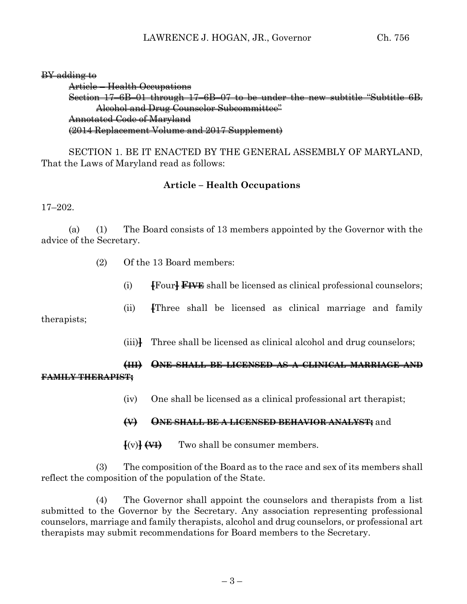BY adding to

Article – Health Occupations Section 17–6B–01 through 17–6B–07 to be under the new subtitle "Subtitle 6B. Alcohol and Drug Counselor Subcommittee" Annotated Code of Maryland (2014 Replacement Volume and 2017 Supplement)

SECTION 1. BE IT ENACTED BY THE GENERAL ASSEMBLY OF MARYLAND, That the Laws of Maryland read as follows:

### **Article – Health Occupations**

17–202.

(a) (1) The Board consists of 13 members appointed by the Governor with the advice of the Secretary.

- (2) Of the 13 Board members:
	- (i) **[**Four**] FIVE** shall be licensed as clinical professional counselors;
	- (ii) **[**Three shall be licensed as clinical marriage and family

therapists;

(iii)**]** Three shall be licensed as clinical alcohol and drug counselors;

# **(III) ONE SHALL BE LICENSED AS A CLINICAL MARRIAGE AND FAMILY THERAPIST;**

(iv) One shall be licensed as a clinical professional art therapist;

### **(V) ONE SHALL BE A LICENSED BEHAVIOR ANALYST;** and

 $\overline{\text{f}(v)}$   $\overline{\text{f}(v)}$  Two shall be consumer members.

(3) The composition of the Board as to the race and sex of its members shall reflect the composition of the population of the State.

(4) The Governor shall appoint the counselors and therapists from a list submitted to the Governor by the Secretary. Any association representing professional counselors, marriage and family therapists, alcohol and drug counselors, or professional art therapists may submit recommendations for Board members to the Secretary.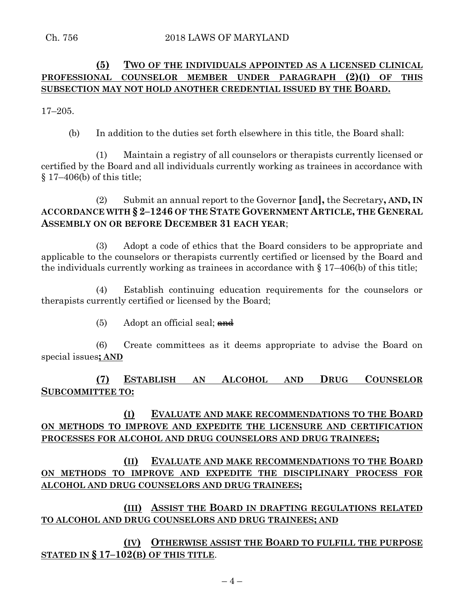## **(5) TWO OF THE INDIVIDUALS APPOINTED AS A LICENSED CLINICAL PROFESSIONAL COUNSELOR MEMBER UNDER PARAGRAPH (2)(I) OF THIS SUBSECTION MAY NOT HOLD ANOTHER CREDENTIAL ISSUED BY THE BOARD.**

17–205.

(b) In addition to the duties set forth elsewhere in this title, the Board shall:

(1) Maintain a registry of all counselors or therapists currently licensed or certified by the Board and all individuals currently working as trainees in accordance with § 17–406(b) of this title;

(2) Submit an annual report to the Governor **[**and**],** the Secretary**, AND, IN ACCORDANCE WITH § 2–1246 OF THE STATE GOVERNMENT ARTICLE, THE GENERAL ASSEMBLY ON OR BEFORE DECEMBER 31 EACH YEAR**;

(3) Adopt a code of ethics that the Board considers to be appropriate and applicable to the counselors or therapists currently certified or licensed by the Board and the individuals currently working as trainees in accordance with § 17–406(b) of this title;

(4) Establish continuing education requirements for the counselors or therapists currently certified or licensed by the Board;

 $(5)$  Adopt an official seal; and

(6) Create committees as it deems appropriate to advise the Board on special issues**; AND**

# **(7) ESTABLISH AN ALCOHOL AND DRUG COUNSELOR SUBCOMMITTEE TO:**

# **(I) EVALUATE AND MAKE RECOMMENDATIONS TO THE BOARD ON METHODS TO IMPROVE AND EXPEDITE THE LICENSURE AND CERTIFICATION PROCESSES FOR ALCOHOL AND DRUG COUNSELORS AND DRUG TRAINEES;**

**(II) EVALUATE AND MAKE RECOMMENDATIONS TO THE BOARD ON METHODS TO IMPROVE AND EXPEDITE THE DISCIPLINARY PROCESS FOR ALCOHOL AND DRUG COUNSELORS AND DRUG TRAINEES;**

**(III) ASSIST THE BOARD IN DRAFTING REGULATIONS RELATED TO ALCOHOL AND DRUG COUNSELORS AND DRUG TRAINEES; AND**

**(IV) OTHERWISE ASSIST THE BOARD TO FULFILL THE PURPOSE STATED IN § 17–102(B) OF THIS TITLE**.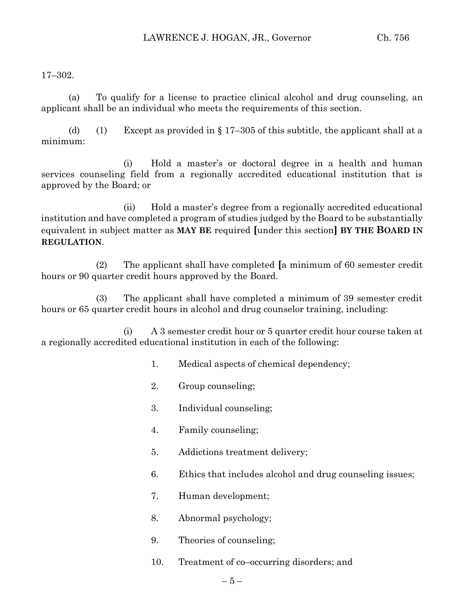17–302.

(a) To qualify for a license to practice clinical alcohol and drug counseling, an applicant shall be an individual who meets the requirements of this section.

(d) (1) Except as provided in  $\S 17-305$  of this subtitle, the applicant shall at a minimum:

(i) Hold a master's or doctoral degree in a health and human services counseling field from a regionally accredited educational institution that is approved by the Board; or

(ii) Hold a master's degree from a regionally accredited educational institution and have completed a program of studies judged by the Board to be substantially equivalent in subject matter as **MAY BE** required **[**under this section**] BY THE BOARD IN REGULATION**.

(2) The applicant shall have completed **[**a minimum of 60 semester credit hours or 90 quarter credit hours approved by the Board.

(3) The applicant shall have completed a minimum of 39 semester credit hours or 65 quarter credit hours in alcohol and drug counselor training, including:

(i) A 3 semester credit hour or 5 quarter credit hour course taken at a regionally accredited educational institution in each of the following:

- 1. Medical aspects of chemical dependency;
- 2. Group counseling;
- 3. Individual counseling;
- 4. Family counseling;
- 5. Addictions treatment delivery;
- 6. Ethics that includes alcohol and drug counseling issues;
- 7. Human development;
- 8. Abnormal psychology;
- 9. Theories of counseling;
- 10. Treatment of co–occurring disorders; and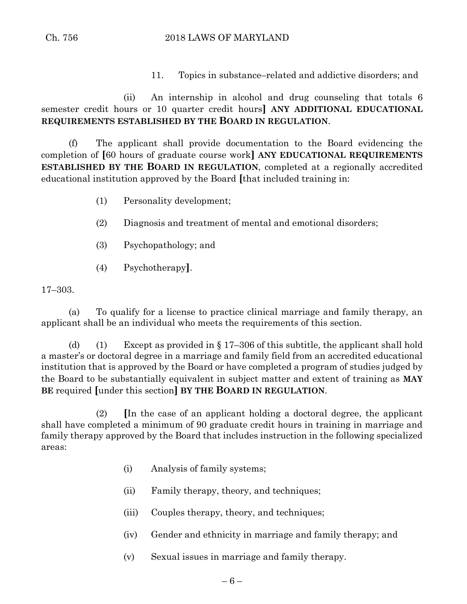11. Topics in substance–related and addictive disorders; and

(ii) An internship in alcohol and drug counseling that totals 6 semester credit hours or 10 quarter credit hours**] ANY ADDITIONAL EDUCATIONAL REQUIREMENTS ESTABLISHED BY THE BOARD IN REGULATION**.

(f) The applicant shall provide documentation to the Board evidencing the completion of **[**60 hours of graduate course work**] ANY EDUCATIONAL REQUIREMENTS ESTABLISHED BY THE BOARD IN REGULATION**, completed at a regionally accredited educational institution approved by the Board **[**that included training in:

- (1) Personality development;
- (2) Diagnosis and treatment of mental and emotional disorders;
- (3) Psychopathology; and
- (4) Psychotherapy**]**.

17–303.

(a) To qualify for a license to practice clinical marriage and family therapy, an applicant shall be an individual who meets the requirements of this section.

(d) (1) Except as provided in  $\S 17-306$  of this subtitle, the applicant shall hold a master's or doctoral degree in a marriage and family field from an accredited educational institution that is approved by the Board or have completed a program of studies judged by the Board to be substantially equivalent in subject matter and extent of training as **MAY BE** required **[**under this section**] BY THE BOARD IN REGULATION**.

(2) **[**In the case of an applicant holding a doctoral degree, the applicant shall have completed a minimum of 90 graduate credit hours in training in marriage and family therapy approved by the Board that includes instruction in the following specialized areas:

- (i) Analysis of family systems;
- (ii) Family therapy, theory, and techniques;
- (iii) Couples therapy, theory, and techniques;
- (iv) Gender and ethnicity in marriage and family therapy; and
- (v) Sexual issues in marriage and family therapy.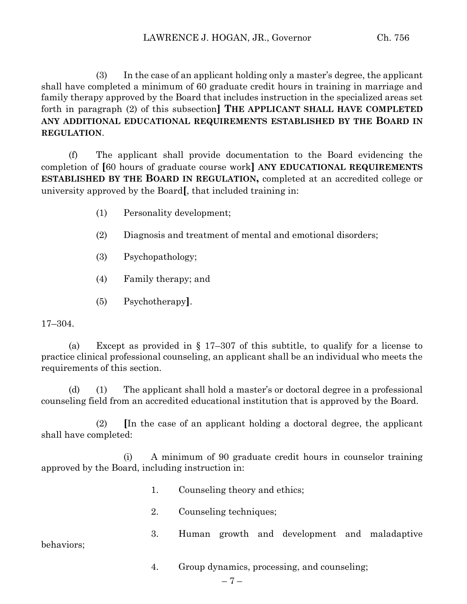(3) In the case of an applicant holding only a master's degree, the applicant shall have completed a minimum of 60 graduate credit hours in training in marriage and family therapy approved by the Board that includes instruction in the specialized areas set forth in paragraph (2) of this subsection**] THE APPLICANT SHALL HAVE COMPLETED ANY ADDITIONAL EDUCATIONAL REQUIREMENTS ESTABLISHED BY THE BOARD IN REGULATION**.

(f) The applicant shall provide documentation to the Board evidencing the completion of **[**60 hours of graduate course work**] ANY EDUCATIONAL REQUIREMENTS ESTABLISHED BY THE BOARD IN REGULATION,** completed at an accredited college or university approved by the Board**[**, that included training in:

- (1) Personality development;
- (2) Diagnosis and treatment of mental and emotional disorders;
- (3) Psychopathology;
- (4) Family therapy; and
- (5) Psychotherapy**]**.

### 17–304.

(a) Except as provided in § 17–307 of this subtitle, to qualify for a license to practice clinical professional counseling, an applicant shall be an individual who meets the requirements of this section.

(d) (1) The applicant shall hold a master's or doctoral degree in a professional counseling field from an accredited educational institution that is approved by the Board.

(2) **[**In the case of an applicant holding a doctoral degree, the applicant shall have completed:

(i) A minimum of 90 graduate credit hours in counselor training approved by the Board, including instruction in:

- 1. Counseling theory and ethics;
- 2. Counseling techniques;
- 3. Human growth and development and maladaptive behaviors;
	- 4. Group dynamics, processing, and counseling;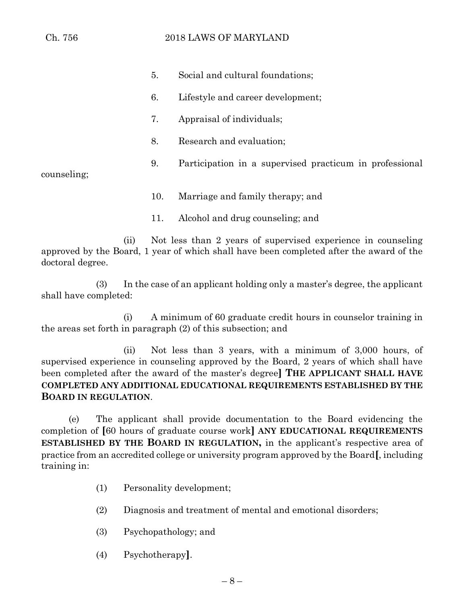- 5. Social and cultural foundations; 6. Lifestyle and career development; 7. Appraisal of individuals; 8. Research and evaluation; 9. Participation in a supervised practicum in professional counseling; 10. Marriage and family therapy; and
	- 11. Alcohol and drug counseling; and

(ii) Not less than 2 years of supervised experience in counseling approved by the Board, 1 year of which shall have been completed after the award of the doctoral degree.

(3) In the case of an applicant holding only a master's degree, the applicant shall have completed:

(i) A minimum of 60 graduate credit hours in counselor training in the areas set forth in paragraph (2) of this subsection; and

(ii) Not less than 3 years, with a minimum of 3,000 hours, of supervised experience in counseling approved by the Board, 2 years of which shall have been completed after the award of the master's degree**] THE APPLICANT SHALL HAVE COMPLETED ANY ADDITIONAL EDUCATIONAL REQUIREMENTS ESTABLISHED BY THE BOARD IN REGULATION**.

(e) The applicant shall provide documentation to the Board evidencing the completion of **[**60 hours of graduate course work**] ANY EDUCATIONAL REQUIREMENTS ESTABLISHED BY THE BOARD IN REGULATION,** in the applicant's respective area of practice from an accredited college or university program approved by the Board**[**, including training in:

- (1) Personality development;
- (2) Diagnosis and treatment of mental and emotional disorders;
- (3) Psychopathology; and
- (4) Psychotherapy**]**.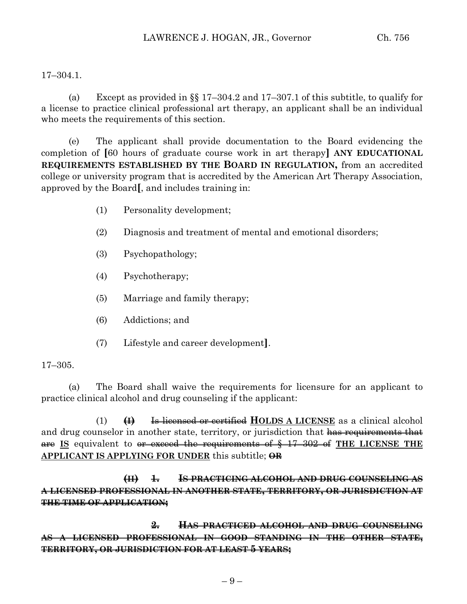### 17–304.1.

(a) Except as provided in §§ 17–304.2 and 17–307.1 of this subtitle, to qualify for a license to practice clinical professional art therapy, an applicant shall be an individual who meets the requirements of this section.

(e) The applicant shall provide documentation to the Board evidencing the completion of **[**60 hours of graduate course work in art therapy**] ANY EDUCATIONAL REQUIREMENTS ESTABLISHED BY THE BOARD IN REGULATION,** from an accredited college or university program that is accredited by the American Art Therapy Association, approved by the Board**[**, and includes training in:

- (1) Personality development;
- (2) Diagnosis and treatment of mental and emotional disorders;
- (3) Psychopathology;
- (4) Psychotherapy;
- (5) Marriage and family therapy;
- (6) Addictions; and
- (7) Lifestyle and career development**]**.

### 17–305.

(a) The Board shall waive the requirements for licensure for an applicant to practice clinical alcohol and drug counseling if the applicant:

(1) **(I)** Is licensed or certified **HOLDS A LICENSE** as a clinical alcohol and drug counselor in another state, territory, or jurisdiction that has requirements that are **IS** equivalent to or exceed the requirements of § 17–302 of **THE LICENSE THE APPLICANT IS APPLYING FOR UNDER** this subtitle; **OR**

**(II) 1. IS PRACTICING ALCOHOL AND DRUG COUNSELING AS A LICENSED PROFESSIONAL IN ANOTHER STATE, TERRITORY, OR JURISDICTION AT THE TIME OF APPLICATION;**

**2. HAS PRACTICED ALCOHOL AND DRUG COUNSELING AS A LICENSED PROFESSIONAL IN GOOD STANDING IN THE OTHER STATE, TERRITORY, OR JURISDICTION FOR AT LEAST 5 YEARS;**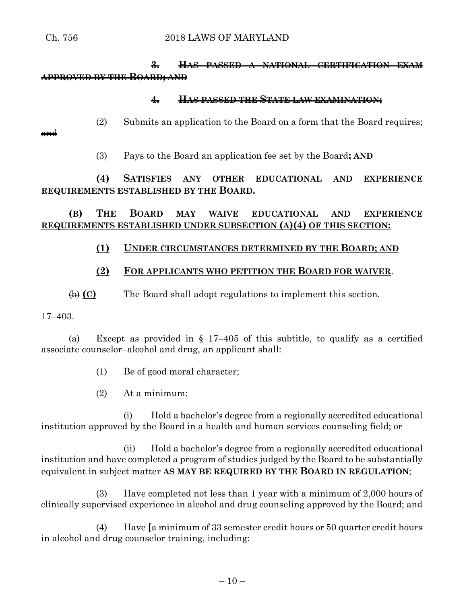# **3. HAS PASSED A NATIONAL CERTIFICATION EXAM APPROVED BY THE BOARD; AND**

### **4. HAS PASSED THE STATE LAW EXAMINATION;**

(2) Submits an application to the Board on a form that the Board requires;

and

(3) Pays to the Board an application fee set by the Board**; AND**

# **(4) SATISFIES ANY OTHER EDUCATIONAL AND EXPERIENCE REQUIREMENTS ESTABLISHED BY THE BOARD.**

# **(B) THE BOARD MAY WAIVE EDUCATIONAL AND EXPERIENCE REQUIREMENTS ESTABLISHED UNDER SUBSECTION (A)(4) OF THIS SECTION:**

## **(1) UNDER CIRCUMSTANCES DETERMINED BY THE BOARD; AND**

## **(2) FOR APPLICANTS WHO PETITION THE BOARD FOR WAIVER**.

(b) **(C)** The Board shall adopt regulations to implement this section.

17–403.

(a) Except as provided in  $\S 17-405$  of this subtitle, to qualify as a certified associate counselor–alcohol and drug, an applicant shall:

- (1) Be of good moral character;
- (2) At a minimum:

(i) Hold a bachelor's degree from a regionally accredited educational institution approved by the Board in a health and human services counseling field; or

(ii) Hold a bachelor's degree from a regionally accredited educational institution and have completed a program of studies judged by the Board to be substantially equivalent in subject matter **AS MAY BE REQUIRED BY THE BOARD IN REGULATION**;

(3) Have completed not less than 1 year with a minimum of 2,000 hours of clinically supervised experience in alcohol and drug counseling approved by the Board; and

(4) Have **[**a minimum of 33 semester credit hours or 50 quarter credit hours in alcohol and drug counselor training, including: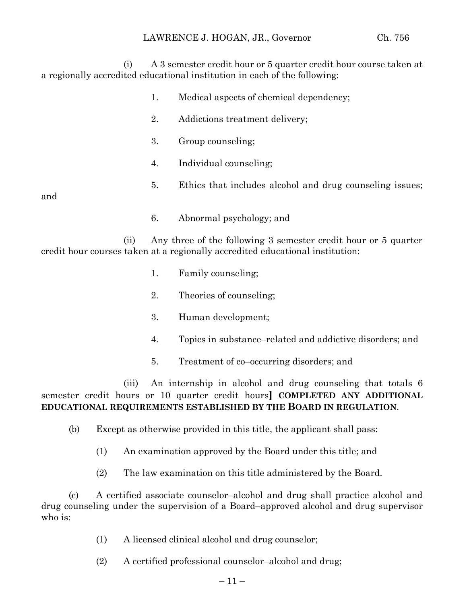(i) A 3 semester credit hour or 5 quarter credit hour course taken at a regionally accredited educational institution in each of the following:

> 1. Medical aspects of chemical dependency; 2. Addictions treatment delivery; 3. Group counseling; 4. Individual counseling; 5. Ethics that includes alcohol and drug counseling issues; 6. Abnormal psychology; and

(ii) Any three of the following 3 semester credit hour or 5 quarter credit hour courses taken at a regionally accredited educational institution:

1. Family counseling;

and

- 2. Theories of counseling;
- 3. Human development;
- 4. Topics in substance–related and addictive disorders; and
- 5. Treatment of co–occurring disorders; and

(iii) An internship in alcohol and drug counseling that totals 6 semester credit hours or 10 quarter credit hours**] COMPLETED ANY ADDITIONAL EDUCATIONAL REQUIREMENTS ESTABLISHED BY THE BOARD IN REGULATION**.

- (b) Except as otherwise provided in this title, the applicant shall pass:
	- (1) An examination approved by the Board under this title; and
	- (2) The law examination on this title administered by the Board.

(c) A certified associate counselor–alcohol and drug shall practice alcohol and drug counseling under the supervision of a Board–approved alcohol and drug supervisor who is:

- (1) A licensed clinical alcohol and drug counselor;
- (2) A certified professional counselor–alcohol and drug;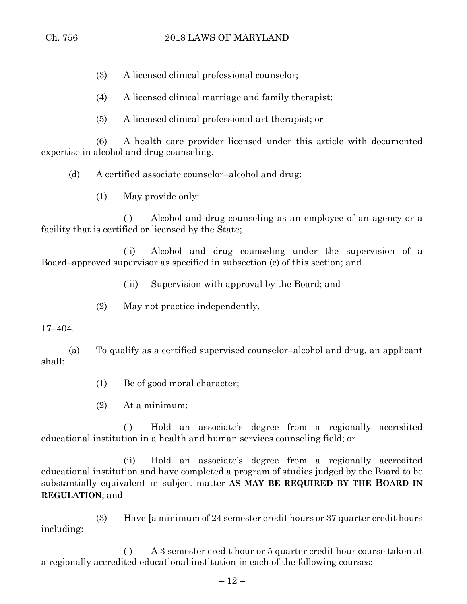(3) A licensed clinical professional counselor;

(4) A licensed clinical marriage and family therapist;

(5) A licensed clinical professional art therapist; or

(6) A health care provider licensed under this article with documented expertise in alcohol and drug counseling.

(d) A certified associate counselor–alcohol and drug:

(1) May provide only:

(i) Alcohol and drug counseling as an employee of an agency or a facility that is certified or licensed by the State;

(ii) Alcohol and drug counseling under the supervision of a Board–approved supervisor as specified in subsection (c) of this section; and

(iii) Supervision with approval by the Board; and

(2) May not practice independently.

### 17–404.

(a) To qualify as a certified supervised counselor–alcohol and drug, an applicant shall:

(1) Be of good moral character;

(2) At a minimum:

(i) Hold an associate's degree from a regionally accredited educational institution in a health and human services counseling field; or

(ii) Hold an associate's degree from a regionally accredited educational institution and have completed a program of studies judged by the Board to be substantially equivalent in subject matter **AS MAY BE REQUIRED BY THE BOARD IN REGULATION**; and

(3) Have **[**a minimum of 24 semester credit hours or 37 quarter credit hours including:

(i) A 3 semester credit hour or 5 quarter credit hour course taken at a regionally accredited educational institution in each of the following courses: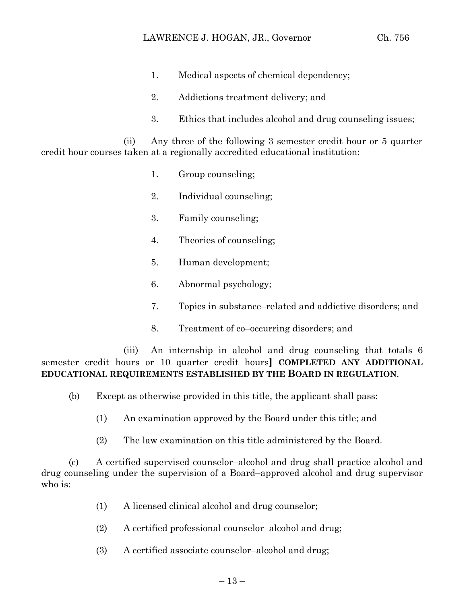- 1. Medical aspects of chemical dependency;
- 2. Addictions treatment delivery; and
- 3. Ethics that includes alcohol and drug counseling issues;

(ii) Any three of the following 3 semester credit hour or 5 quarter credit hour courses taken at a regionally accredited educational institution:

- 1. Group counseling;
- 2. Individual counseling;
- 3. Family counseling;
- 4. Theories of counseling;
- 5. Human development;
- 6. Abnormal psychology;
- 7. Topics in substance–related and addictive disorders; and
- 8. Treatment of co–occurring disorders; and

(iii) An internship in alcohol and drug counseling that totals 6 semester credit hours or 10 quarter credit hours**] COMPLETED ANY ADDITIONAL EDUCATIONAL REQUIREMENTS ESTABLISHED BY THE BOARD IN REGULATION**.

- (b) Except as otherwise provided in this title, the applicant shall pass:
	- (1) An examination approved by the Board under this title; and
	- (2) The law examination on this title administered by the Board.

(c) A certified supervised counselor–alcohol and drug shall practice alcohol and drug counseling under the supervision of a Board–approved alcohol and drug supervisor who is:

- (1) A licensed clinical alcohol and drug counselor;
- (2) A certified professional counselor–alcohol and drug;
- (3) A certified associate counselor–alcohol and drug;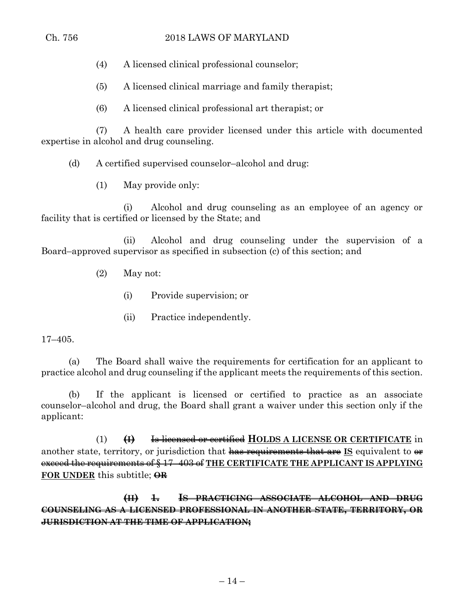- (4) A licensed clinical professional counselor;
- (5) A licensed clinical marriage and family therapist;
- (6) A licensed clinical professional art therapist; or

(7) A health care provider licensed under this article with documented expertise in alcohol and drug counseling.

(d) A certified supervised counselor–alcohol and drug:

(1) May provide only:

(i) Alcohol and drug counseling as an employee of an agency or facility that is certified or licensed by the State; and

(ii) Alcohol and drug counseling under the supervision of a Board–approved supervisor as specified in subsection (c) of this section; and

- (2) May not:
	- (i) Provide supervision; or
	- (ii) Practice independently.

17–405.

(a) The Board shall waive the requirements for certification for an applicant to practice alcohol and drug counseling if the applicant meets the requirements of this section.

(b) If the applicant is licensed or certified to practice as an associate counselor–alcohol and drug, the Board shall grant a waiver under this section only if the applicant:

(1) **(I)** Is licensed or certified **HOLDS A LICENSE OR CERTIFICATE** in another state, territory, or jurisdiction that has requirements that are **IS** equivalent to  $\theta$ exceed the requirements of § 17–403 of **THE CERTIFICATE THE APPLICANT IS APPLYING FOR UNDER** this subtitle; **OR**

**(II) 1. IS PRACTICING ASSOCIATE ALCOHOL AND DRUG COUNSELING AS A LICENSED PROFESSIONAL IN ANOTHER STATE, TERRITORY, OR JURISDICTION AT THE TIME OF APPLICATION;**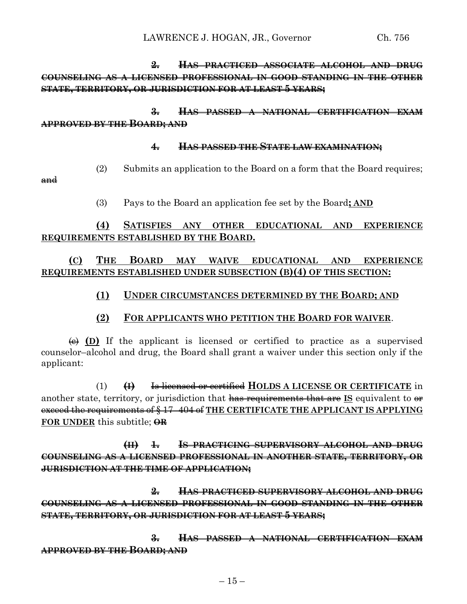**2. HAS PRACTICED ASSOCIATE ALCOHOL AND DRUG COUNSELING AS A LICENSED PROFESSIONAL IN GOOD STANDING IN THE OTHER STATE, TERRITORY, OR JURISDICTION FOR AT LEAST 5 YEARS;**

**3. HAS PASSED A NATIONAL CERTIFICATION EXAM APPROVED BY THE BOARD; AND**

### **4. HAS PASSED THE STATE LAW EXAMINATION;**

(2) Submits an application to the Board on a form that the Board requires;

and

(3) Pays to the Board an application fee set by the Board**; AND**

## **(4) SATISFIES ANY OTHER EDUCATIONAL AND EXPERIENCE REQUIREMENTS ESTABLISHED BY THE BOARD.**

# **(C) THE BOARD MAY WAIVE EDUCATIONAL AND EXPERIENCE REQUIREMENTS ESTABLISHED UNDER SUBSECTION (B)(4) OF THIS SECTION:**

## **(1) UNDER CIRCUMSTANCES DETERMINED BY THE BOARD; AND**

### **(2) FOR APPLICANTS WHO PETITION THE BOARD FOR WAIVER**.

 $\overline{(e)}$  (D) If the applicant is licensed or certified to practice as a supervised counselor–alcohol and drug, the Board shall grant a waiver under this section only if the applicant:

(1) **(I)** Is licensed or certified **HOLDS A LICENSE OR CERTIFICATE** in another state, territory, or jurisdiction that has requirements that are **IS** equivalent to  $\theta$ exceed the requirements of § 17–404 of **THE CERTIFICATE THE APPLICANT IS APPLYING FOR UNDER** this subtitle; **OR**

**(II) 1. IS PRACTICING SUPERVISORY ALCOHOL AND DRUG COUNSELING AS A LICENSED PROFESSIONAL IN ANOTHER STATE, TERRITORY, OR JURISDICTION AT THE TIME OF APPLICATION;**

**2. HAS PRACTICED SUPERVISORY ALCOHOL AND DRUG COUNSELING AS A LICENSED PROFESSIONAL IN GOOD STANDING IN THE OTHER STATE, TERRITORY, OR JURISDICTION FOR AT LEAST 5 YEARS;**

**3. HAS PASSED A NATIONAL CERTIFICATION EXAM APPROVED BY THE BOARD; AND**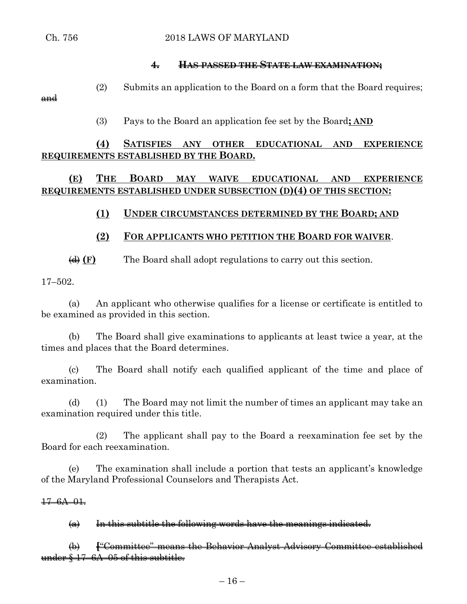## **4. HAS PASSED THE STATE LAW EXAMINATION;**

(2) Submits an application to the Board on a form that the Board requires; and

(3) Pays to the Board an application fee set by the Board**; AND**

# **(4) SATISFIES ANY OTHER EDUCATIONAL AND EXPERIENCE REQUIREMENTS ESTABLISHED BY THE BOARD.**

**(E) THE BOARD MAY WAIVE EDUCATIONAL AND EXPERIENCE REQUIREMENTS ESTABLISHED UNDER SUBSECTION (D)(4) OF THIS SECTION:**

# **(1) UNDER CIRCUMSTANCES DETERMINED BY THE BOARD; AND**

# **(2) FOR APPLICANTS WHO PETITION THE BOARD FOR WAIVER**.

(d) **(F)** The Board shall adopt regulations to carry out this section.

17–502.

(a) An applicant who otherwise qualifies for a license or certificate is entitled to be examined as provided in this section.

(b) The Board shall give examinations to applicants at least twice a year, at the times and places that the Board determines.

(c) The Board shall notify each qualified applicant of the time and place of examination.

(d) (1) The Board may not limit the number of times an applicant may take an examination required under this title.

(2) The applicant shall pay to the Board a reexamination fee set by the Board for each reexamination.

(e) The examination shall include a portion that tests an applicant's knowledge of the Maryland Professional Counselors and Therapists Act.

 $\frac{17-6A-01}{5}$ 

 $(a)$  In this subtitle the following words have the meanings indicated.

(b) **[**"Committee" means the Behavior Analyst Advisory Committee established under § 17–6A–05 of this subtitle.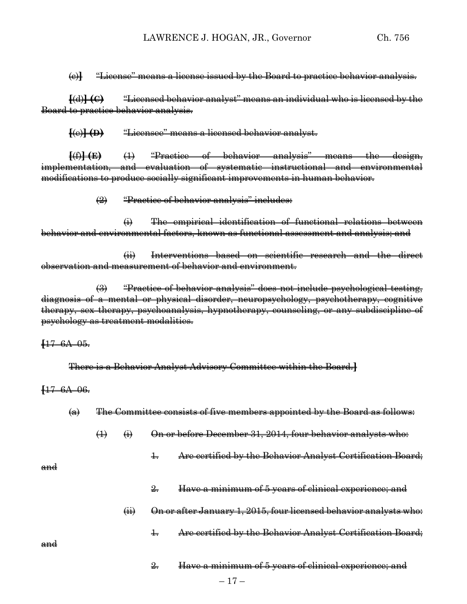#### (c)**]** "License" means a license issued by the Board to practice behavior analysis.

**[**(d)**] (C)** "Licensed behavior analyst" means an individual who is licensed by the Board to practice behavior analysis.

**[**(e)**] (D)** "Licensee" means a licensed behavior analyst.

**[**(f)**] (E)** (1) "Practice of behavior analysis" means the design, implementation, and evaluation of systematic instructional and environmental modifications to produce socially significant improvements in human behavior.

(2) "Practice of behavior analysis" includes:

(i) The empirical identification of functional relations between behavior and environmental factors, known as functional assessment and analysis; and

(ii) Interventions based on scientific research and the direct observation and measurement of behavior and environment.

(3) "Practice of behavior analysis" does not include psychological testing, diagnosis of a mental or physical disorder, neuropsychology, psychotherapy, cognitive therapy, sex therapy, psychoanalysis, hypnotherapy, counseling, or any subdiscipline of psychology as treatment modalities.

**[**17–6A–05.

There is a Behavior Analyst Advisory Committee within the Board.**]**

**[**17–6A–06.

| $\left( \Theta \right)$ | The Committee consists of five members eppeinted by the Board as follows.           |  |  |
|-------------------------|-------------------------------------------------------------------------------------|--|--|
|                         | <u>The committee consister of the inclusers appointed by the Dout a as follows.</u> |  |  |

- $\overline{4}$   $\overline{4}$   $\overline{9}$  On or before December 31, 2014, four behavior analysts who:
	- 1. Are certified by the Behavior Analyst Certification Board;

and

- 2. Have a minimum of 5 years of clinical experience; and
- $(i)$  On or after January 1, 2015, four licensed behavior analysts who:
	- 1. Are certified by the Behavior Analyst Certification Board;

and

2. Have a minimum of 5 years of clinical experience; and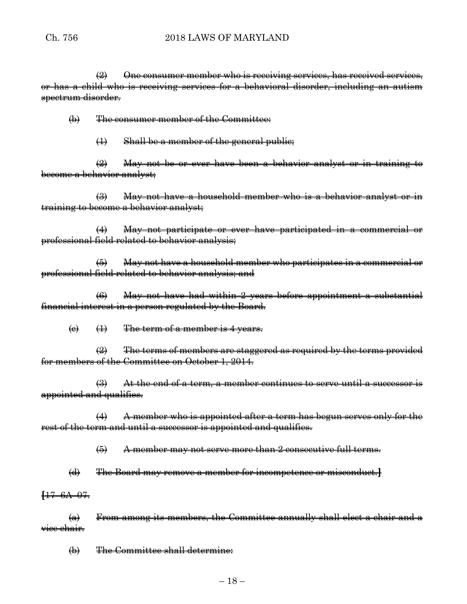$\left( \frac{1}{2} \right)$  One consumer member who is receiving services, has received services, or has a child who is receiving services for a behavioral disorder, including an autism spectrum disorder.

(b) The consumer member of the Committee:

(1) Shall be a member of the general public;

 $\left(2\right)$  May not be or ever have been a behavior analyst or in training to become a behavior analyst;

(3) May not have a household member who is a behavior analyst or in training to become a behavior analyst;

(4) May not participate or ever have participated in a commercial or professional field related to behavior analysis;

(5) May not have a household member who participates in a commercial or professional field related to behavior analysis; and

(6) May not have had within 2 years before appointment a substantial financial interest in a person regulated by the Board.

 $\Theta$   $\left(1\right)$  The term of a member is 4 years.

(2) The terms of members are staggered as required by the terms provided for members of the Committee on October 1, 2014.

 $\left(\frac{1}{2}\right)$  At the end of a term, a member continues to serve until a successor is appointed and qualifies.

(4) A member who is appointed after a term has begun serves only for the rest of the term and until a successor is appointed and qualifies.

(5) A member may not serve more than 2 consecutive full terms.

(d) The Board may remove a member for incompetence or misconduct.**]**

**[**17–6A–07.

 $(a)$  From among its members, the Committee annually shall elect a chair and a vice chair.

(b) The Committee shall determine: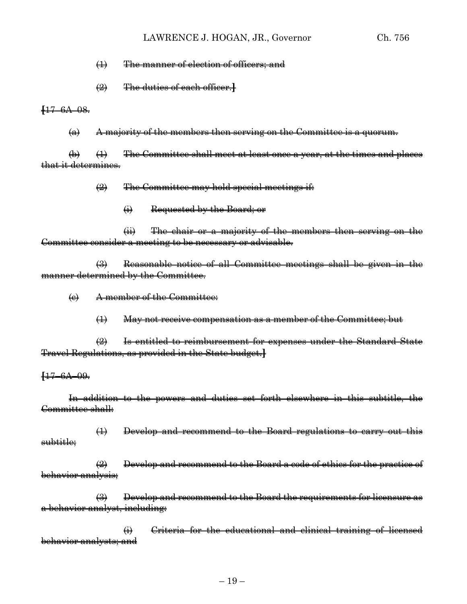#### LAWRENCE J. HOGAN, JR., Governor Ch. 756

#### (1) The manner of election of officers; and

(2) The duties of each officer.**]**

**[**17–6A–08.

 $(a)$  A majority of the members then serving on the Committee is a quorum.

 $\left(\theta\right)$  (1) The Committee shall meet at least once a year, at the times and places that it determines.

 $\left( \frac{1}{2} \right)$  The Committee may hold special meetings if:

(i) Requested by the Board; or

(ii) The chair or a majority of the members then serving on the Committee consider a meeting to be necessary or advisable.

(3) Reasonable notice of all Committee meetings shall be given in the manner determined by the Committee.

(c) A member of the Committee:

(1) May not receive compensation as a member of the Committee; but

(2) Is entitled to reimbursement for expenses under the Standard State Travel Regulations, as provided in the State budget.**]**

**[**17–6A–09.

In addition to the powers and duties set forth elsewhere in this subtitle, the Committee shall:

(1) Develop and recommend to the Board regulations to carry out this subtitle;

 $\left(\frac{1}{2}\right)$  Develop and recommend to the Board a code of ethics for the practice of behavior analysis;

(3) Develop and recommend to the Board the requirements for licensure as a behavior analyst, including:

(i) Criteria for the educational and clinical training of licensed behavior analysts; and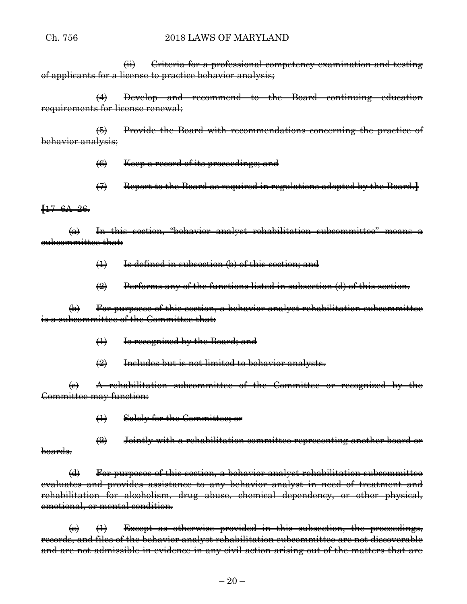### Ch. 756 2018 LAWS OF MARYLAND

(ii) Criteria for a professional competency examination and testing of applicants for a license to practice behavior analysis;

(4) Develop and recommend to the Board continuing education requirements for license renewal;

(5) Provide the Board with recommendations concerning the practice of behavior analysis;

(6) Keep a record of its proceedings; and

(7) Report to the Board as required in regulations adopted by the Board.**]**

#### **[**17–6A–26.

(a) In this section, "behavior analyst rehabilitation subcommittee" means a subcommittee that:

(1) Is defined in subsection (b) of this section; and

(2) Performs any of the functions listed in subsection (d) of this section.

(b) For purposes of this section, a behavior analyst rehabilitation subcommittee is a subcommittee of the Committee that:

(1) Is recognized by the Board; and

(2) Includes but is not limited to behavior analysts.

(c) A rehabilitation subcommittee of the Committee or recognized by the Committee may function:

(1) Solely for the Committee; or

 $\left( 2 \right)$  Jointly with a rehabilitation committee representing another board or boards.

(d) For purposes of this section, a behavior analyst rehabilitation subcommittee evaluates and provides assistance to any behavior analyst in need of treatment and rehabilitation for alcoholism, drug abuse, chemical dependency, or other physical, emotional, or mental condition.

 $\left(\theta\right)$  (1) Except as otherwise provided in this subsection, the proceedings, records, and files of the behavior analyst rehabilitation subcommittee are not discoverable and are not admissible in evidence in any civil action arising out of the matters that are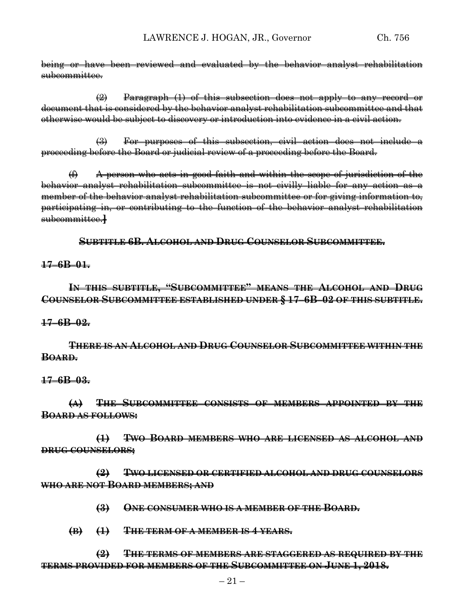being or have been reviewed and evaluated by the behavior analyst rehabilitation subcommittee.

 $\Rightarrow$  Paragraph  $(1)$  of this subsection does not apply to any record or document that is considered by the behavior analyst rehabilitation subcommittee and that otherwise would be subject to discovery or introduction into evidence in a civil action.

(3) For purposes of this subsection, civil action does not include a proceeding before the Board or judicial review of a proceeding before the Board.

 $(f)$  A person who acts in good faith and within the scope of jurisdiction of the behavior analyst rehabilitation subcommittee is not civilly liable for any action as a member of the behavior analyst rehabilitation subcommittee or for giving information to, participating in, or contributing to the function of the behavior analyst rehabilitation subcommittee.**]**

**SUBTITLE 6B. ALCOHOL AND DRUG COUNSELOR SUBCOMMITTEE.**

### **17–6B–01.**

## **IN THIS SUBTITLE, "SUBCOMMITTEE" MEANS THE ALCOHOL AND DRUG COUNSELOR SUBCOMMITTEE ESTABLISHED UNDER § 17–6B–02 OF THIS SUBTITLE.**

#### **17–6B–02.**

**THERE IS AN ALCOHOL AND DRUG COUNSELOR SUBCOMMITTEE WITHIN THE BOARD.**

#### **17–6B–03.**

**(A) THE SUBCOMMITTEE CONSISTS OF MEMBERS APPOINTED BY THE BOARD AS FOLLOWS:**

**(1) TWO BOARD MEMBERS WHO ARE LICENSED AS ALCOHOL AND DRUG COUNSELORS;**

**(2) TWO LICENSED OR CERTIFIED ALCOHOL AND DRUG COUNSELORS WHO ARE NOT BOARD MEMBERS; AND**

**(3) ONE CONSUMER WHO IS A MEMBER OF THE BOARD.**

**(B) (1) THE TERM OF A MEMBER IS 4 YEARS.**

**(2) THE TERMS OF MEMBERS ARE STAGGERED AS REQUIRED BY THE TERMS PROVIDED FOR MEMBERS OF THE SUBCOMMITTEE ON JUNE 1, 2018.**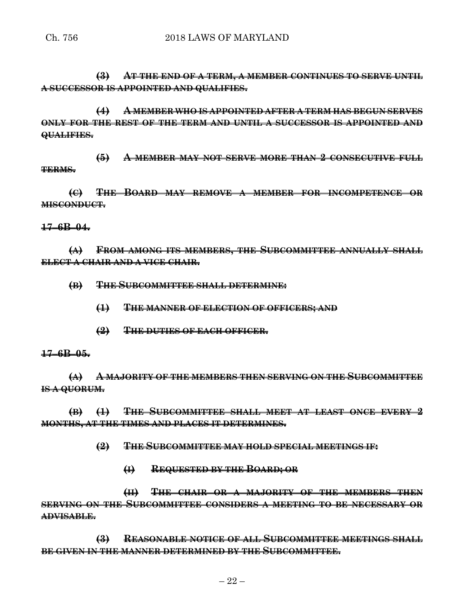**(3) AT THE END OF A TERM, A MEMBER CONTINUES TO SERVE UNTIL A SUCCESSOR IS APPOINTED AND QUALIFIES.**

**(4) A MEMBER WHO IS APPOINTED AFTER A TERM HAS BEGUN SERVES ONLY FOR THE REST OF THE TERM AND UNTIL A SUCCESSOR IS APPOINTED AND QUALIFIES.**

**(5) A MEMBER MAY NOT SERVE MORE THAN 2 CONSECUTIVE FULL TERMS.**

**(C) THE BOARD MAY REMOVE A MEMBER FOR INCOMPETENCE OR MISCONDUCT.**

### **17–6B–04.**

**(A) FROM AMONG ITS MEMBERS, THE SUBCOMMITTEE ANNUALLY SHALL ELECT A CHAIR AND A VICE CHAIR.**

**(B) THE SUBCOMMITTEE SHALL DETERMINE:**

- **(1) THE MANNER OF ELECTION OF OFFICERS; AND**
- **(2) THE DUTIES OF EACH OFFICER.**

#### **17–6B–05.**

**(A) A MAJORITY OF THE MEMBERS THEN SERVING ON THE SUBCOMMITTEE IS A QUORUM.**

**(B) (1) THE SUBCOMMITTEE SHALL MEET AT LEAST ONCE EVERY 2 MONTHS, AT THE TIMES AND PLACES IT DETERMINES.**

**(2) THE SUBCOMMITTEE MAY HOLD SPECIAL MEETINGS IF:**

**(I) REQUESTED BY THE BOARD; OR**

**(II) THE CHAIR OR A MAJORITY OF THE MEMBERS THEN SERVING ON THE SUBCOMMITTEE CONSIDERS A MEETING TO BE NECESSARY OR ADVISABLE.**

**(3) REASONABLE NOTICE OF ALL SUBCOMMITTEE MEETINGS SHALL BE GIVEN IN THE MANNER DETERMINED BY THE SUBCOMMITTEE.**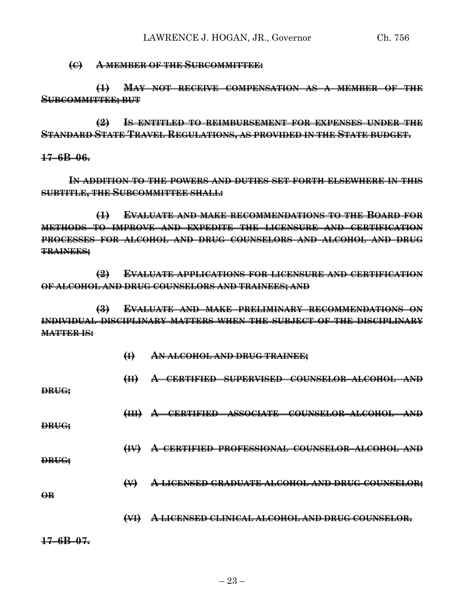**(C) A MEMBER OF THE SUBCOMMITTEE:**

**(1) MAY NOT RECEIVE COMPENSATION AS A MEMBER OF THE SUBCOMMITTEE; BUT**

**(2) IS ENTITLED TO REIMBURSEMENT FOR EXPENSES UNDER THE STANDARD STATE TRAVEL REGULATIONS, AS PROVIDED IN THE STATE BUDGET.**

**17–6B–06.**

**IN ADDITION TO THE POWERS AND DUTIES SET FORTH ELSEWHERE IN THIS SUBTITLE, THE SUBCOMMITTEE SHALL:**

**(1) EVALUATE AND MAKE RECOMMENDATIONS TO THE BOARD FOR METHODS TO IMPROVE AND EXPEDITE THE LICENSURE AND CERTIFICATION PROCESSES FOR ALCOHOL AND DRUG COUNSELORS AND ALCOHOL AND DRUG TRAINEES;**

**(2) EVALUATE APPLICATIONS FOR LICENSURE AND CERTIFICATION OF ALCOHOL AND DRUG COUNSELORS AND TRAINEES; AND**

**(3) EVALUATE AND MAKE PRELIMINARY RECOMMENDATIONS ON INDIVIDUAL DISCIPLINARY MATTERS WHEN THE SUBJECT OF THE DISCIPLINARY MATTER IS:**

**(I) AN ALCOHOL AND DRUG TRAINEE;**

**(II) A CERTIFIED SUPERVISED COUNSELOR–ALCOHOL AND DRUG; (III) A CERTIFIED ASSOCIATE COUNSELOR–ALCOHOL AND DRUG; (IV) A CERTIFIED PROFESSIONAL COUNSELOR–ALCOHOL AND DRUG; (V) A LICENSED GRADUATE ALCOHOL AND DRUG COUNSELOR; OR**

**(VI) A LICENSED CLINICAL ALCOHOL AND DRUG COUNSELOR.**

**17–6B–07.**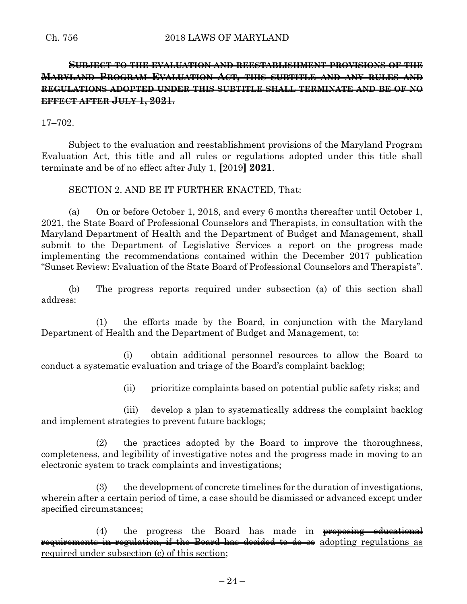# **SUBJECT TO THE EVALUATION AND REESTABLISHMENT PROVISIONS OF THE MARYLAND PROGRAM EVALUATION ACT, THIS SUBTITLE AND ANY RULES AND REGULATIONS ADOPTED UNDER THIS SUBTITLE SHALL TERMINATE AND BE OF NO EFFECT AFTER JULY 1, 2021.**

17–702.

Subject to the evaluation and reestablishment provisions of the Maryland Program Evaluation Act, this title and all rules or regulations adopted under this title shall terminate and be of no effect after July 1, **[**2019**] 2021**.

SECTION 2. AND BE IT FURTHER ENACTED, That:

(a) On or before October 1, 2018, and every 6 months thereafter until October 1, 2021, the State Board of Professional Counselors and Therapists, in consultation with the Maryland Department of Health and the Department of Budget and Management, shall submit to the Department of Legislative Services a report on the progress made implementing the recommendations contained within the December 2017 publication "Sunset Review: Evaluation of the State Board of Professional Counselors and Therapists".

(b) The progress reports required under subsection (a) of this section shall address:

(1) the efforts made by the Board, in conjunction with the Maryland Department of Health and the Department of Budget and Management, to:

(i) obtain additional personnel resources to allow the Board to conduct a systematic evaluation and triage of the Board's complaint backlog;

(ii) prioritize complaints based on potential public safety risks; and

(iii) develop a plan to systematically address the complaint backlog and implement strategies to prevent future backlogs;

(2) the practices adopted by the Board to improve the thoroughness, completeness, and legibility of investigative notes and the progress made in moving to an electronic system to track complaints and investigations;

(3) the development of concrete timelines for the duration of investigations, wherein after a certain period of time, a case should be dismissed or advanced except under specified circumstances;

(4) the progress the Board has made in proposing educational requirements in regulation, if the Board has decided to do so adopting regulations as required under subsection (c) of this section;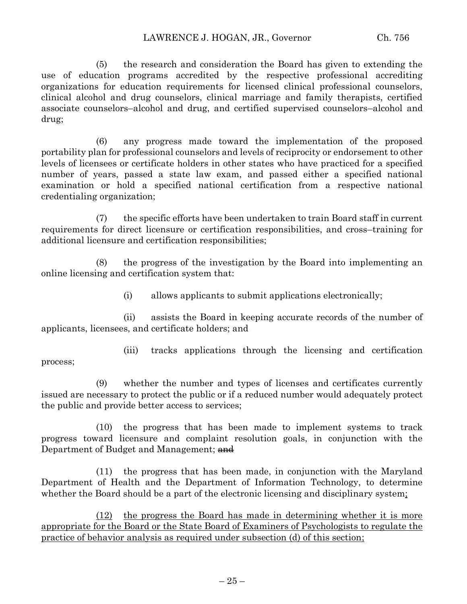(5) the research and consideration the Board has given to extending the use of education programs accredited by the respective professional accrediting organizations for education requirements for licensed clinical professional counselors, clinical alcohol and drug counselors, clinical marriage and family therapists, certified associate counselors–alcohol and drug, and certified supervised counselors–alcohol and drug;

(6) any progress made toward the implementation of the proposed portability plan for professional counselors and levels of reciprocity or endorsement to other levels of licensees or certificate holders in other states who have practiced for a specified number of years, passed a state law exam, and passed either a specified national examination or hold a specified national certification from a respective national credentialing organization;

(7) the specific efforts have been undertaken to train Board staff in current requirements for direct licensure or certification responsibilities, and cross–training for additional licensure and certification responsibilities;

(8) the progress of the investigation by the Board into implementing an online licensing and certification system that:

(i) allows applicants to submit applications electronically;

(ii) assists the Board in keeping accurate records of the number of applicants, licensees, and certificate holders; and

(iii) tracks applications through the licensing and certification process;

(9) whether the number and types of licenses and certificates currently issued are necessary to protect the public or if a reduced number would adequately protect the public and provide better access to services;

(10) the progress that has been made to implement systems to track progress toward licensure and complaint resolution goals, in conjunction with the Department of Budget and Management; and

(11) the progress that has been made, in conjunction with the Maryland Department of Health and the Department of Information Technology, to determine whether the Board should be a part of the electronic licensing and disciplinary system;

(12) the progress the Board has made in determining whether it is more appropriate for the Board or the State Board of Examiners of Psychologists to regulate the practice of behavior analysis as required under subsection (d) of this section;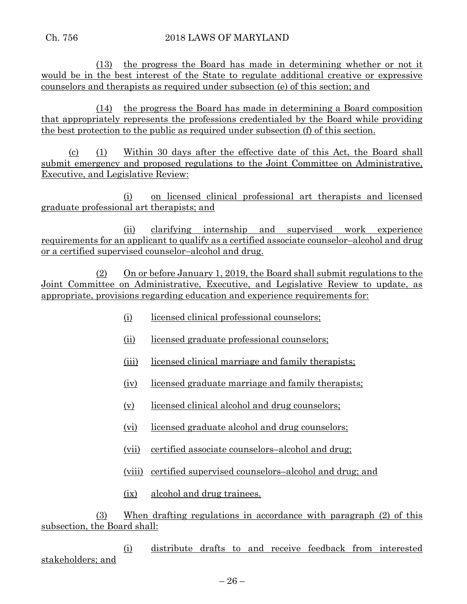(13) the progress the Board has made in determining whether or not it would be in the best interest of the State to regulate additional creative or expressive counselors and therapists as required under subsection (e) of this section; and

(14) the progress the Board has made in determining a Board composition that appropriately represents the professions credentialed by the Board while providing the best protection to the public as required under subsection (f) of this section.

(c) (1) Within 30 days after the effective date of this Act, the Board shall submit emergency and proposed regulations to the Joint Committee on Administrative, Executive, and Legislative Review:

(i) on licensed clinical professional art therapists and licensed graduate professional art therapists; and

(ii) clarifying internship and supervised work experience requirements for an applicant to qualify as a certified associate counselor–alcohol and drug or a certified supervised counselor–alcohol and drug.

(2) On or before January 1, 2019, the Board shall submit regulations to the Joint Committee on Administrative, Executive, and Legislative Review to update, as appropriate, provisions regarding education and experience requirements for:

- (i) licensed clinical professional counselors;
- (ii) licensed graduate professional counselors;
- (iii) licensed clinical marriage and family therapists;
- (iv) licensed graduate marriage and family therapists;
- (v) licensed clinical alcohol and drug counselors;
- (vi) licensed graduate alcohol and drug counselors;
- (vii) certified associate counselors–alcohol and drug;
- (viii) certified supervised counselors–alcohol and drug; and
- (ix) alcohol and drug trainees.

(3) When drafting regulations in accordance with paragraph (2) of this subsection, the Board shall:

(i) distribute drafts to and receive feedback from interested stakeholders; and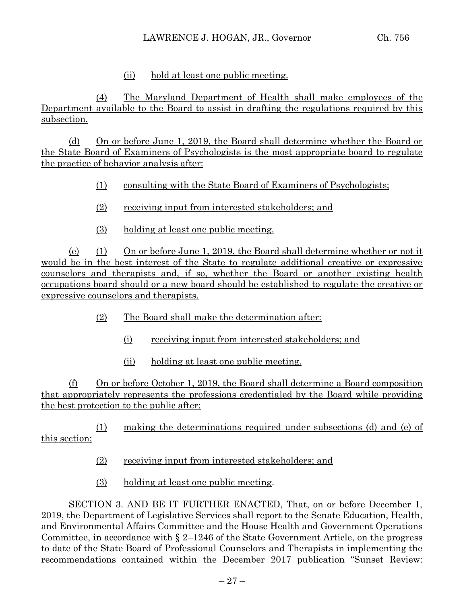### (ii) hold at least one public meeting.

(4) The Maryland Department of Health shall make employees of the Department available to the Board to assist in drafting the regulations required by this subsection.

(d) On or before June 1, 2019, the Board shall determine whether the Board or the State Board of Examiners of Psychologists is the most appropriate board to regulate the practice of behavior analysis after:

- (1) consulting with the State Board of Examiners of Psychologists;
- (2) receiving input from interested stakeholders; and
- (3) holding at least one public meeting.

(e) (1) On or before June 1, 2019, the Board shall determine whether or not it would be in the best interest of the State to regulate additional creative or expressive counselors and therapists and, if so, whether the Board or another existing health occupations board should or a new board should be established to regulate the creative or expressive counselors and therapists.

- (2) The Board shall make the determination after:
	- (i) receiving input from interested stakeholders; and
	- (ii) holding at least one public meeting.

(f) On or before October 1, 2019, the Board shall determine a Board composition that appropriately represents the professions credentialed by the Board while providing the best protection to the public after:

(1) making the determinations required under subsections (d) and (e) of this section;

- (2) receiving input from interested stakeholders; and
- (3) holding at least one public meeting.

SECTION 3. AND BE IT FURTHER ENACTED, That, on or before December 1, 2019, the Department of Legislative Services shall report to the Senate Education, Health, and Environmental Affairs Committee and the House Health and Government Operations Committee, in accordance with  $\S$  2–1246 of the State Government Article, on the progress to date of the State Board of Professional Counselors and Therapists in implementing the recommendations contained within the December 2017 publication "Sunset Review: